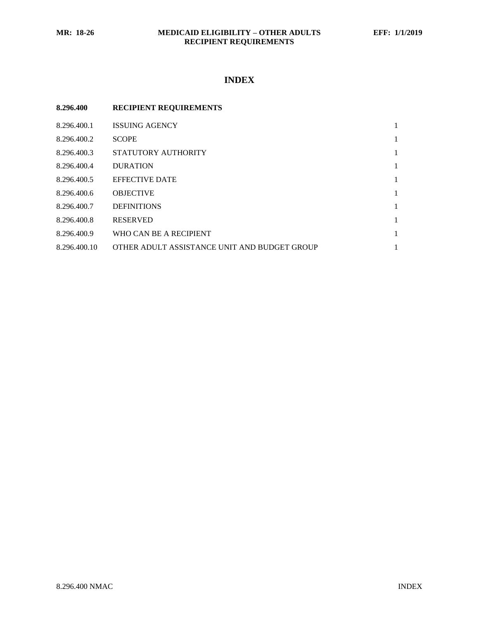## **INDEX**

| 8.296.400    | <b>RECIPIENT REQUIREMENTS</b>                |              |
|--------------|----------------------------------------------|--------------|
| 8.296.400.1  | <b>ISSUING AGENCY</b>                        |              |
| 8.296.400.2  | <b>SCOPE</b>                                 | $\mathbf{1}$ |
| 8.296.400.3  | STATUTORY AUTHORITY                          | $\mathbf{1}$ |
| 8.296.400.4  | <b>DURATION</b>                              | $\mathbf{1}$ |
| 8.296.400.5  | <b>EFFECTIVE DATE</b>                        | $\mathbf{1}$ |
| 8.296.400.6  | <b>OBJECTIVE</b>                             | $\mathbf{1}$ |
| 8.296.400.7  | <b>DEFINITIONS</b>                           | $\mathbf{1}$ |
| 8.296.400.8  | <b>RESERVED</b>                              | $\mathbf{1}$ |
| 8.296.400.9  | WHO CAN BE A RECIPIENT                       | $\mathbf{1}$ |
| 8.296.400.10 | OTHER ADULT ASSISTANCE UNIT AND BUDGET GROUP | 1            |